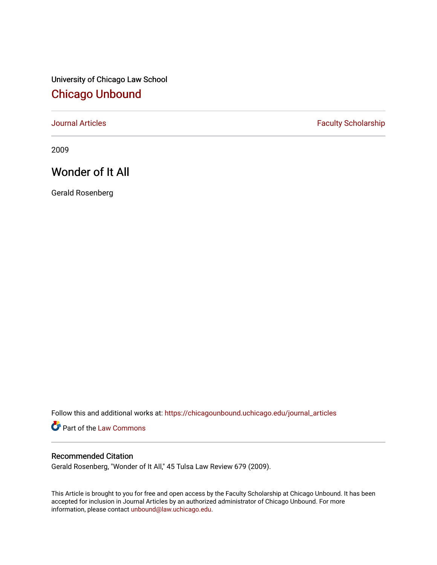University of Chicago Law School [Chicago Unbound](https://chicagounbound.uchicago.edu/)

[Journal Articles](https://chicagounbound.uchicago.edu/journal_articles) **Faculty Scholarship Faculty Scholarship** 

2009

# Wonder of It All

Gerald Rosenberg

Follow this and additional works at: [https://chicagounbound.uchicago.edu/journal\\_articles](https://chicagounbound.uchicago.edu/journal_articles?utm_source=chicagounbound.uchicago.edu%2Fjournal_articles%2F3943&utm_medium=PDF&utm_campaign=PDFCoverPages) 

Part of the [Law Commons](http://network.bepress.com/hgg/discipline/578?utm_source=chicagounbound.uchicago.edu%2Fjournal_articles%2F3943&utm_medium=PDF&utm_campaign=PDFCoverPages)

### Recommended Citation

Gerald Rosenberg, "Wonder of It All," 45 Tulsa Law Review 679 (2009).

This Article is brought to you for free and open access by the Faculty Scholarship at Chicago Unbound. It has been accepted for inclusion in Journal Articles by an authorized administrator of Chicago Unbound. For more information, please contact [unbound@law.uchicago.edu](mailto:unbound@law.uchicago.edu).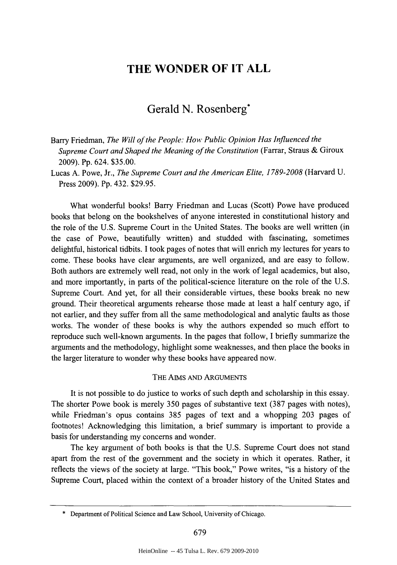## **THE WONDER OF IT ALL**

## Gerald **N.** Rosenberg\*

Barry Friedman, *The Will of the People: How Public Opinion Has Influenced the Supreme Court and Shaped the Meaning of the Constitution* (Farrar, Straus **&** Giroux **2009). Pp.** 624. **\$35.00.**

Lucas **A.** Powe, Jr., *The Supreme Court and the American Elite, 1789-2008* (Harvard **U.** Press **2009). Pp.** 432. **\$29.95.**

What wonderful books! Barry Friedman and Lucas (Scott) Powe have produced books that belong on the bookshelves of anyone interested in constitutional history and the role of the **U.S.** Supreme Court in the United States. The books are well written (in the case of Powe, beautifully written) and studded with fascinating, sometimes delightful, historical tidbits. **I** took pages of notes that will enrich my lectures for years to come. These books have clear arguments, are well organized, and are easy to follow. Both authors are extremely well read, not only in the work of legal academics, but also, and more importantly, in parts of the political-science literature on the role of the **U.S.** Supreme Court. And yet, for all their considerable virtues, these books break no new ground. Their theoretical arguments rehearse those made at least a half century ago, if not earlier, and they suffer from all the same methodological and analytic faults as those works. The wonder of these books is why the authors expended so much effort to reproduce such well-known arguments. In the pages that follow, **I** briefly summarize the arguments and the methodology, highlight some weaknesses, and then place the books in the larger literature to wonder why these books have appeared now.

#### THE AIMS **AND** ARGUMENTS

It is not possible to do justice to works of such depth and scholarship in this essay. The shorter Powe book is merely **350** pages of substantive text **(387** pages with notes), while Friedman's opus contains **385** pages of text and a whopping **203** pages of footnotes! Acknowledging this limitation, a brief summary is important to provide a basis for understanding my concerns and wonder.

The key argument of both books is that the **U.S.** Supreme Court does not stand apart from the rest of the government and the society in which it operates. Rather, it reflects the views of the society at large. "This book," Powe writes, "is a history of the Supreme Court, placed within the context of a broader history of the United States and

**<sup>\*</sup>** Department of Political Science and Law School, University of Chicago.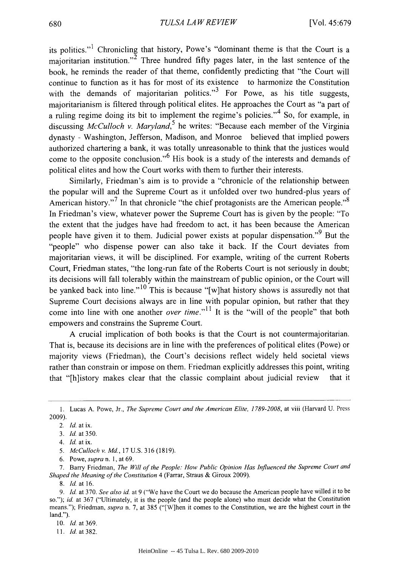its politics."<sup>1</sup> Chronicling that history, Powe's "dominant theme is that the Court is a majoritarian institution.<sup>2</sup> Three hundred fifty pages later, in the last sentence of the book, he reminds the reader of that theme, confidently predicting that "the Court will continue to function as it has for most of its existence to harmonize the Constitution with the demands of majoritarian politics."<sup>3</sup> For Powe, as his title suggests, majoritarianism is filtered through political elites. He approaches the Court as "a part of a ruling regime doing its bit to implement the regime's policies." <sup>4</sup>**So,** for example, in discussing *McCulloch v. Maryland*,<sup>5</sup> he writes: "Because each member of the Virginia dynasty **-** Washington, Jefferson, Madison, and Monroe believed that implied powers authorized chartering a bank, it was totally unreasonable to think that the justices would come to the opposite conclusion."<sup>6</sup> His book is a study of the interests and demands of political elites and how the Court works with them to further their interests.

Similarly, Friedman's aim is to provide a "chronicle of the relationship between the popular will and the Supreme Court as it unfolded over two hundred-plus years of American history."<sup>7</sup> In that chronicle "the chief protagonists are the American people."<sup>8</sup> In Friedman's view, whatever power the Supreme Court has is given **by** the people: "To the extent that the judges have had freedom to act, it has been because the American people have given it to them. Judicial power exists at popular dispensation."<sup>9</sup> But the "people" who dispense power can also take it back. **If** the Court deviates from majoritarian views, it will be disciplined. For example, writing of the current Roberts Court, Friedman states, "the long-run fate of the Roberts Court is not seriously in doubt; its decisions will fall tolerably within the mainstream of public opinion, or the Court will be vanked back into line."<sup>10</sup> This is because "[w]hat history shows is assuredly not that Supreme Court decisions always are in line with popular opinion, but rather that they come into line with one another *over time."11* It is the "will of the people" that both empowers and constrains the Supreme Court.

**A** crucial implication of both books is that the Court is not countermajoritarian. That is, because its decisions are in line with the preferences of political elites (Powe) or majority views (Friedman), the Court's decisions reflect widely held societal views rather than constrain or impose on them. Friedman explicitly addresses this point, writing that "[h]istory makes clear that the classic complaint about judicial review that it

*5. McCulloch v. Md.,* **17 U.S. 316 (1819).**

*7.* Barry Friedman, *The Will of the People: How Public Opinion Has Influenced the Supreme Court and Shaped the Meaning of the Constitution* 4 (Farrar, Straus **&** Giroux **2009).**

*11. Id.* **at382.**

**<sup>1.</sup>** Lucas **A.** Powe, Jr., *The Supreme Court and the American Elite, 1789-2008, at* viii (Harvard **U.** Press **2009).**

<sup>2.</sup> *Id.* at ix.

**<sup>3.</sup>** *Id. at* **350.**

<sup>4.</sup> *Id at* ix.

**<sup>6.</sup>** Powe, *supra n.* **1,** at **69.**

**<sup>8.</sup>** *Id. at* **16.**

**<sup>9.</sup>** *Id at* **370.** *See also id. at* **9** ("We have the *Court* we do because the American people have willed it to be so."); *id. at* **367** ("Ultimately, it is the people (and the people alone) who must decide what the Constitution means."); Friedman, *supra* n. **7,** at **385** ("[W]hen it comes to the Constitution, we are the highest court in the land.").

*<sup>10.</sup> Id. at* **369.**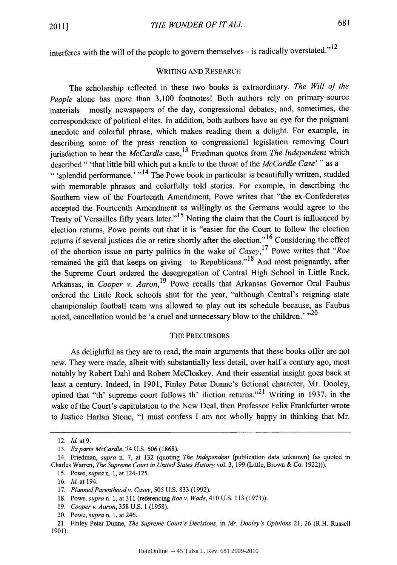interferes with the will of the people to govern themselves **-** is radically overstated."l2

#### WRITING **AND** RESEARCH

The scholarship reflected in these two books is extraordinary. *The Will of the People* alone has more than **3,100** footnotes! Both authors rely on primary-source materials mostly newspapers of the day, congressional debates, and, sometimes, the correspondence of political elites. In addition, both authors have an eye for the poignant anecdote and colorful phrase, which makes reading them a delight. For example, in describing some of the press reaction to congressional legislation removing Court jurisdiction to hear the *McCardle* case, 13 Friedman quotes from *The Independent* which described **"** 'that little bill which put a knife to the throat of the *McCardle Case' "* as a " 'splendid performance.' **"14** The Powe book in particular is beautifully written, studded with memorable phrases and colorfully told stories. For example, in describing the Southern view of the Fourteenth Amendment, Powe writes that "the ex-Confederates accepted the Fourteenth Amendment as willingly as the Germans would agree to the Treaty of Versailles **fifty** years later."15 Noting the claim that the Court is influenced **by** election returns, Powe points out that it is "easier for the Court to follow the election returns if several justices die or retire shortly after the election."<sup>16</sup> Considering the effect of the abortion issue on party politics in the wake of *Casey,17* Powe writes that *"Roe* remained the gift that keeps on giving to Republicans."<sup>18</sup> And most poignantly, after the Supreme Court ordered the desegregation of Central High School in Little Rock, Arkansas, in *Cooper v. Aaron,19* Powe recalls that Arkansas Governor Oral Faubus ordered the Little Rock schools shut for the year, "although Central's reigning state championship football team was allowed to play out its schedule because, as Faubus noted, cancellation would be 'a cruel and unnecessary blow to the children.' "<sup>20</sup>

#### THE PRECURSORS

As delightful as they are to read, the main arguments that these books offer are not new. They were made, albeit with substantially less detail, over half a century ago, most notably **by** Robert Dahl and Robert McCloskey. And their essential insight goes back at least a century. Indeed, in **1901,** Finley Peter Dunne's fictional character, Mr. Dooley, opined that "th' supreme coort follows th' iliction returns."21 Writing in **1937,** in the wake of the Court's capitulation to the New Deal, then Professor Felix Frankfurter wrote to Justice Harlan Stone, **"I** must confess **I** am not wholly happy in thinking that Mr.

<sup>12.</sup> *Id. at 9.*

*<sup>13.</sup> Exparte McCardle,* 74 **U.S. 506 (1868).**

<sup>14.</sup> Friedman, *supra* n. **7,** at **132** (quoting *The Independent* (publication data unknown) (as quoted in Charles Warren, *The Supreme Court in United States History* vol. **3, 199** (Little, Brown **&** Co. **1922))).**

*<sup>15.</sup>* Powe, *supra n.* **1,** at 124-125.

**<sup>16.</sup>** *Id. at 194.*

<sup>17.</sup> *Planned Parenthood v. Casey, 505* **U.S. 833 (1992).**

**<sup>18.</sup>** Powe, *supra n.* **1,** at **311** (referencing *Roe v. Wade,* 410 **U.S. 113 (1973)).**

**<sup>19.</sup>** *Cooper v. Aaron,* **358 U.S. 1 (1958).**

<sup>20.</sup> Powe, *supra n.* **1,** at 246.

<sup>21.</sup> Finley Peter Dunne, *The Supreme Court's Decisions, in Mr. Dooley's Opinions* 21, **26** (R.H. Russell **1901).**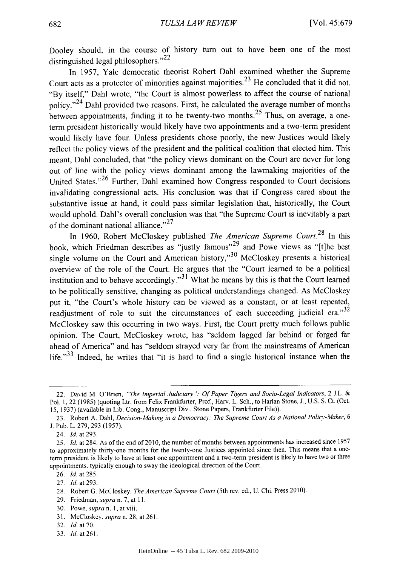Dooley should, in the course of history turn out to have been one of the most distinguished legal philosophers."<sup>22</sup>

In *1957,* Yale democratic theorist Robert Dahl examined whether the Supreme Court acts as a protector of minorities against majorities.<sup>23</sup> He concluded that it did not. "By itself," Dahl wrote, "the Court is almost powerless to affect the course of national policy."<sup>24</sup> Dahl provided two reasons. First, he calculated the average number of months between appointments, finding it to be twenty-two months.<sup>25</sup> Thus, on average, a oneterm president historically would likely have two appointments and a two-term president would likely have four. Unless presidents chose poorly, the new Justices would likely reflect the policy views of the president and the political coalition that elected him. This meant, Dahl concluded, that "the policy views dominant on the Court are never for long out of line with the policy views dominant among the lawmaking majorities of the United States."26 Further, Dahl examined how Congress responded to Court decisions invalidating congressional acts. His conclusion was that **if** Congress cared about the substantive issue at hand, it could pass similar legislation that, historically, the Court would uphold. Dahl's overall conclusion was that "the Supreme Court is inevitably a part of the dominant national alliance."<sup>27</sup>

In **1960,** Robert McCloskey published *The American Supreme Court.28* In this book, which Friedman describes as "justly famous"29 and Powe views as "[t]he best single volume on the Court and American history,"<sup>30</sup> McCloskey presents a historical overview of the role of the Court. He argues that the "Court learned to be a political institution and to behave accordingly."31 What he means **by** this is that the Court learned to be politically sensitive, changing as political understandings changed. As McCloskey put it, "the Court's whole history can be viewed as a constant, or at least repeated, readjustment of role to suit the circumstances of each succeeding judicial era."32 McCloskey saw this occurring in two ways. First, the Court pretty much follows public opinion. The Court, McCloskey wrote, has "seldom lagged far behind or forged far ahead of America" and has "seldom strayed very far from the mainstreams of American life."<sup>33</sup> Indeed, he writes that "it is hard to find a single historical instance when the

**33.** *Id.* at **261.**

<sup>22.</sup> David M. O'Brien, *"The Imperial Judiciary* **":** *Of Paper Tigers and Socio-Legal Indicators,* 2 **J.L. &** Pol. **1,** 22 **(1985)** (quoting Ltr. from Felix Frankfurter, Prof., Harv. L. Sch., to Harlan Stone, **J., U.S. S.** Ct. (Oct. **15, 1937)** (available in Lib. Cong., Manuscript Div., Stone Papers, Frankfurter File)).

**<sup>23.</sup>** Robert **A.** Dahl, *Decision-Making in a Democracy: The Supreme Court As a National Policy-Maker, 6* **J.** Pub. L. **279, 293 (1957).**

*<sup>24.</sup> Id.* at **293.**

*<sup>25.</sup> Id.* at 284. As of the end of **2010,** the number of months between appointments has increased since **<sup>1957</sup>** to approximately thirty-one months for the twenty-one Justices appointed since then. This means that a oneterm president is likely to have at least one appointment and a two-term president is likely to have two or three appointments. typically enough to sway the ideological direction of the Court.

**<sup>26.</sup>** *Id.* at **285.**

**<sup>27.</sup>** *Id.* at **293.**

<sup>28.</sup> Robert **G.** McCloskey, *The American Supreme Court* (5th rev. ed., **U.** Chi. Press **2010).**

**<sup>29.</sup>** Friedman, *supra* n. **7,** at **11.**

**<sup>30.</sup>** Powe, *supra n.* **1,** at viii.

**<sup>31.</sup>** McCloskey, *supra* n. **28,** at **261.**

**<sup>32.</sup>** *Id.* at **70.**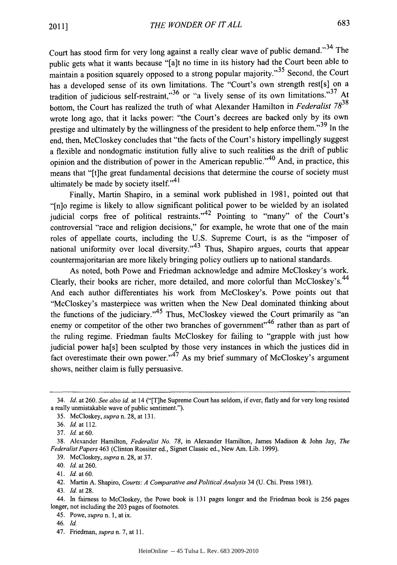Court has stood firm for very long against a really clear wave of public demand."<sup>34</sup> The public gets what it wants because "[a]t no time in its history had the Court been able to maintain a position squarely opposed to a strong popular majority."<sup>35</sup> Second, the Court has a developed sense of its own limitations. The "Court's own strength rest[s] on a tradition of judicious self-restraint,"  $36$  or "a lively sense of its own limitations."  $37$  At bottom, the Court has realized the truth of what Alexander Hamilton in *Federalist <sup>7838</sup>* wrote long ago, that it lacks power: "the Court's decrees are backed only **by** its own prestige and ultimately by the willingness of the president to help enforce them."<sup>39</sup> In the end, then, McCloskey concludes that "the facts of the Court's history impellingly suggest a flexible and nondogmatic institution fully alive to such realities as the drift of public opinion and the distribution of power in the American republic." 40 And, in practice, this means that "[t]he great fundamental decisions that determine the course of society must ultimately be made **by** society itself."<sup>41</sup>

Finally, Martin Shapiro, in a seminal work published in **1981,** pointed out that "[n]o regime is likely to allow significant political power to be wielded **by** an isolated judicial corps free of political restraints." 42 Pointing to "many" of the Court's controversial "race and religion decisions," for example, he wrote that one of the main roles of appellate courts, including the **U.S.** Supreme Court, is as the "imposer of national uniformity over local diversity."<sup>43</sup> Thus, Shapiro argues, courts that appear countermajoritarian are more likely bringing policy outliers up to national standards.

As noted, both Powe and Friedman acknowledge and admire McCloskey's work. Clearly, their books are richer, more detailed, and more colorful than McCloskev's.<sup>44</sup> And each author differentiates his work from McCloskey's. Powe points out that "McCloskey's masterpiece was written when the New Deal dominated thinking about the functions of the judiciary."<sup>45</sup> Thus, McCloskey viewed the Court primarily as "an enemy or competitor of the other two branches of government"<sup>46</sup> rather than as part of the ruling regime. Friedman faults McCloskey for failing to "grapple with just how judicial power ha[s] been sculpted **by** those very instances in which the justices did in fact overestimate their own power." As my brief summary of McCloskey's argument shows, neither claim is **fully** persuasive.

*46. Id.*

*<sup>34.</sup> Id. at* **260.** *See also id at* 14 ("[T]he Supreme Court has seldom, if ever, flatly and for very long resisted a really unmistakable wave of public sentiment.").

*<sup>35.</sup>* McCloskey, *supra n.* **28,** at **131.**

*<sup>36.</sup> Id.* at 112.

**<sup>37.</sup>** *Id.* at **60.**

**<sup>38.</sup>** Alexander Hamilton, *Federalist No. 78,* in Alexander Hamilton, James Madison **&** John Jay, *The Federalist Papers* 463 (Clinton Rossiter ed., Signet Classic ed., New Am. Lib. **1999).**

**<sup>39.</sup>** McCloskey, *supra* n. **28,** at **37.**

<sup>40.</sup> *Id.* at **260.**

<sup>41.</sup> *Id* at **60.**

<sup>42.</sup> Martin **A.** Shapiro, *Courts: A Comparative and Political Analysis 34* **(U.** Chi. Press **1981).**

<sup>43.</sup> *Id* at **28.**

<sup>44.</sup> In fairness to McCloskey, the Powe book is **131** pages longer and the Friedman book is **256** pages longer, not including the **203** pages of footnotes.

<sup>45.</sup> *Powe, supra n.* **1,** at ix.

<sup>47.</sup> Friedman, *supra* n. **7,** at **11.**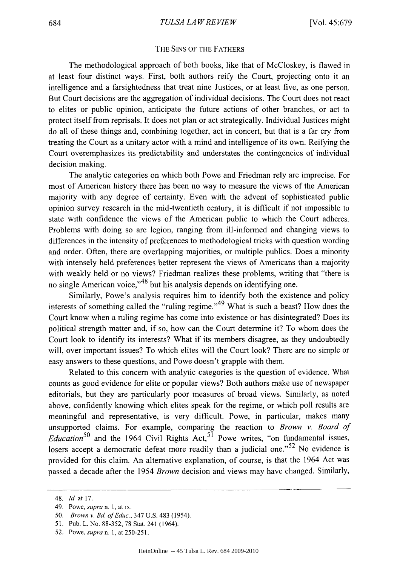#### THE **SINS** OF THE FATHERS

The methodological approach of both books, like that of McCloskey, is flawed in at least four distinct ways. First, both authors reify the Court, projecting onto it an intelligence and a farsightedness that treat nine Justices, or at least five, as one person. But Court decisions are the aggregation of individual decisions. The Court does not react to elites or public opinion, anticipate the future actions of other branches, or act to protect itself from reprisals. It does not plan or act strategically. Individual Justices might do all of these things and, combining together, act in concert, but that is a far cry from treating the Court as a unitary actor with a mind and intelligence of its own. Reifying the Court overemphasizes its predictability and understates the contingencies of individual decision making.

The analytic categories on which both Powe and Friedman rely are imprecise. For most of American history there has been no way to measure the views of the American majority with any degree of certainty. Even with the advent of sophisticated public opinion survey research in the mid-twentieth century, it is difficult if not impossible to state with confidence the views of the American public to which the Court adheres. Problems with doing so are legion, ranging from ill-informed and changing views to differences in the intensity of preferences to methodological tricks with question wording and order. Often, there are overlapping majorities, or multiple publics. Does a minority with intensely **held** preferences better represent the views of Americans than a majority with weakly held or no views? Friedman realizes these problems, writing that "there is no single American voice,"<sup>48</sup> but his analysis depends on identifying one.

Similarly, Powe's analysis requires him to identify both the existence and policy interests of something called the "ruling regime."  $49$  What is such a beast? How does the Court know when a ruling regime has come into existence or has disintegrated? Does its political strength matter and, if so, how can the Court determine it? To whom does the Court look to identify its interests? What if its members disagree, as they undoubtedly will, over important issues? To which elites will the Court look? There are no simple or easy answers to these questions, and Powe doesn't grapple with them.

Related to this concern with analytic categories is the question of evidence. What counts as good evidence for elite or popular views? Both authors make use of newspaper editorials, but they are particularly poor measures of broad views. Similarly, as noted above, confidently knowing which elites speak for the regime, or which poll results are meaningful and representative, is very difficult. Powe, in particular, makes many unsupported claims. For example, comparing the reaction to *Brown v. Board of Education*<sup>50</sup> and the 1964 Civil Rights Act,<sup>51</sup> Powe writes, "on fundamental issues, losers accept a democratic defeat more readily than a judicial one."<sup>52</sup> No evidence is provided for this claim. An alternative explanation, of course, is that the 1964 Act was passed a decade after the 1954 *Brown* decision and views may have changed. Similarly,

<sup>48.</sup> *Id at* **17.**

<sup>49.</sup> *Powe, supra n.* **1,** at ix.

*<sup>50.</sup> Brown v. Bd of Educ.,* 347 **U.S.** 483 (1954).

**<sup>51.</sup>** Pub. L. No. **88-352, 78** Stat. 241 (1964).

**<sup>52.</sup>** Powe, *supra n.* **1,** at **250-251.**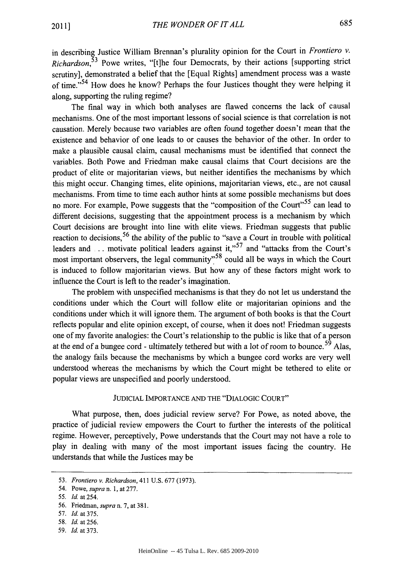in describing Justice William Brennan's plurality opinion for the Court in *Frontiero v. Richardson,53* Powe writes, "[t]he four Democrats, **by** their actions [supporting strict scrutiny], demonstrated a belief that the [Equal Rights] amendment process was a waste of time."<sup>54</sup> How does he know? Perhaps the four Justices thought they were helping it along, supporting the ruling regime?

The final way in which both analyses are flawed concerns the lack of causal mechanisms. One of the most important lessons of social science is that correlation is not causation. Merely because two variables are often found together doesn't mean that the existence and behavior of one leads to or causes the behavior of the other. In order to make a plausible causal claim, causal mechanisms must be identified that connect the variables. Both Powe and Friedman make causal claims that Court decisions are the product of elite or majoritarian views, but neither identifies the mechanisms **by** which this might occur. Changing times, elite opinions, majoritarian views, etc., are not causal mechanisms. From time to time each author hints at some possible mechanisms but does no more. For example, Powe suggests that the "composition of the Court"<sup>55</sup> can lead to different decisions, suggesting that the appointment process is a mechanism **by** which Court decisions are brought into line with elite views. Friedman suggests that public reaction to decisions,<sup>56</sup> the ability of the public to "save a Court in trouble with political leaders and **...** motivate political leaders against it,"<sup>57</sup> and "attacks from the Court's most important observers, the legal community"58 could all be ways in which the Court is induced to follow majoritarian views. But how any of these factors might work to influence the Court is left to the reader's imagination.

The problem with unspecified mechanisms is that they do not let us understand the conditions under which the Court will follow elite or majoritarian opinions and the conditions under which it will ignore them. The argument of both books is that the Court reflects popular and elite opinion except, of course, when it does not! Friedman suggests one of my favorite analogies: the Court's relationship to the public is like that of a person at the end of a bungee cord **-** ultimately tethered but with a lot of room to bounce. 59 Alas, the analogy fails because the mechanisms **by** which a bungee cord works are very well understood whereas the mechanisms **by** which the Court might be tethered to elite or popular views are unspecified and poorly understood.

#### **JUDICIAL** IMPORTANCE **AND** THE **"DIALOGIC COURT"**

What purpose, then, does judicial review serve? For Powe, as noted above, the practice of judicial review empowers the Court to further the interests of the political regime. However, perceptively, Powe understands that the Court may not have a role to play in dealing with many of the most important issues facing the country. He understands that while the Justices may be

- **58.** *Id. at 256.*
- **59.** *Id.* at **373.**

**<sup>53.</sup>** *Frontiero v. Richardson,* 411 **U.S. 677 (1973).**

<sup>54.</sup> Powe, *supra n.* **1,** at **277.**

*<sup>55.</sup> Id at* 254.

**<sup>56.</sup>** Friedman, *supra* n. **7,** at **381.**

**<sup>57.</sup>** *Id. at* **375.**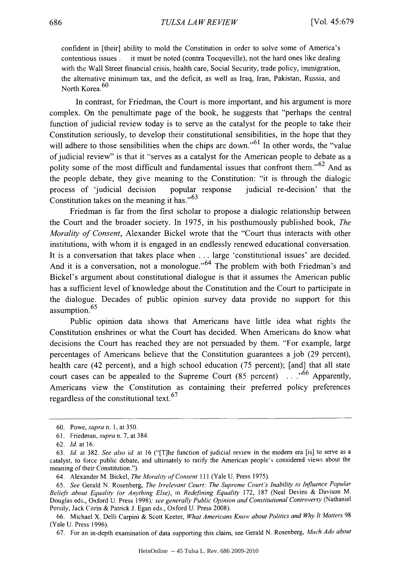confident in [their] ability to mold the Constitution in order to solve some of America's contentious issues **.** it must be noted (contra Tocqueville), not the hard ones like dealing with the Wall Street financial crisis, health care, Social Security, trade policy, immigration, the alternative minimum tax, and the deficit, as well as Iraq, Iran, Pakistan, Russia, and North Korea.<sup>60</sup>

In contrast, for Friedman, the Court is more important, and his argument is more complex. On the penultimate page of the book, he suggests that "perhaps the central function of judicial review today is to serve as the catalyst for the people to take their Constitution seriously, to develop their constitutional sensibilities, in the hope that they will adhere to those sensibilities when the chips are down."<sup>61</sup> In other words, the "value" of judicial review" is that it "serves as a catalyst for the American people to debate as a polity some of the most difficult and fundamental issues that confront them."<sup>62</sup> And as the people debate, they give meaning to the Constitution: "it is through the dialogic process of 'judicial decision popular response judicial re-decision' that the Constitution takes on the meaning it has." $63$ 

Friedman is far from the first scholar to propose a dialogic relationship between the Court and the broader society. In **1975,** in his posthumously published book, *The Morality of* Consent, Alexander Bickel wrote that the "Court thus interacts with other institutions, with whom it is engaged in an endlessly renewed educational conversation. It is a conversation that takes place when **.** . **.** large 'constitutional issues' are decided. And it is a conversation, not a monologue."<sup>64</sup> The problem with both Friedman's and Bickel's argument about constitutional dialogue is that it assumes the American public has a sufficient level of knowledge about the Constitution and the Court to participate in the dialogue. Decades of public opinion survey data provide no support for this assumption.<sup>65</sup>

Public opinion data shows that Americans have little idea what rights the Constitution enshrines or what the Court has decided. When Americans do know what decisions the Court has reached they are not persuaded **by** them. "For example, large percentages of Americans believe that the Constitution guarantees a **job (29** percent), health care (42 percent), and a high school education **(75** percent); [and] that all state court cases can be appealed to the Supreme Court **(85** percent) **. . ."66** Apparently, Americans view the Constitution as containing their preferred policy preferences regardless of the constitutional text.  $67$ 

*<sup>60.</sup> Powe,supran. 1,at 350.*

**<sup>61.</sup>** Friedman, *supra* n. **7,** at 384.

**<sup>62.</sup> Id.** at **16.**

**<sup>63.</sup> Id.** *at* **382.** *See also id* at **16** ("[T]he function of judicial review in the modem era [is] to serve as a catalyst, to force public debate, and ultimately to ratify the American people's considered views about the meaning of their Constitution.").

<sup>64.</sup> Alexander M. Bickel, *The Morality of Consent* 111 (Yale **U.** Press **1975).**

*<sup>65.</sup> See* Gerald **N.** Rosenberg, *The Irrelevant Court: The Supreme Court 's Inability to Influence Popular Beliefs about Equality (or Anything Else), in Redefining Equality* **172, 187** (Neal Devins **&** Davison M. Douglas eds., Oxford **U.** Press **1998),** *see generally Public Opinion and Constitutional Controversy (Nathaniel* Persily, Jack Citrin **&** Patrick **J.** Egan eds., Oxford **U.** Press **2008).**

**<sup>66.</sup>** Michael X. Delli Carpini **&** Scott Keeter, *What Americans Know about Politics and Why It Matters <sup>98</sup>* (Yale **U.** Press **1996).**

**<sup>67.</sup>** For an in-depth examination of data supporting this claim, see Gerald **N.** *Rosenberg, Much Ado about*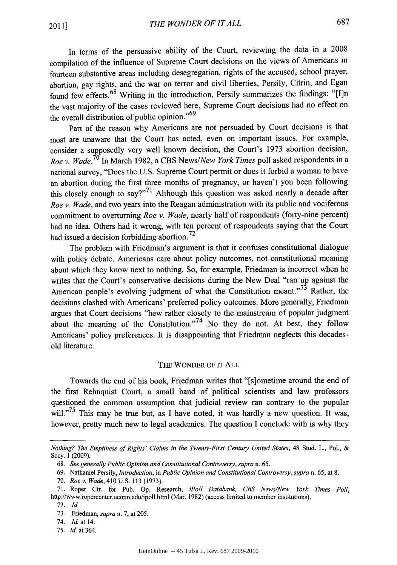In terms of the persuasive ability of the Court, reviewing the data in a **2008** compilation of the influence of Supreme Court decisions on the views of Americans in fourteen substantive areas including desegregation, rights of the accused, school prayer, abortion, gay rights, and the war on terror and civil liberties, Persily, Citrin, and Egan found few effects.<sup>68</sup> Writing in the introduction, Persily summarizes the findings: "[I]n the vast majority of the cases reviewed here, Supreme Court decisions had no effect on the overall distribution of public opinion."<sup>69</sup>

Part of the reason why Americans are not persuaded **by** Court decisions is that most are unaware that the Court has acted, even on important issues. For example, consider a supposedly very well known decision, the Court's **1973** abortion decision, *Roe* **v.** *Wade.* In March **1982,** a **CBS** *News/New York Times* poll asked respondents in a national survey, "Does the **U.S.** Supreme Court permit or does it forbid a woman to have an abortion during the first three months of pregnancy, or haven't you been following this closely enough to say?"<sup>71</sup> Although this question was asked nearly a decade after *Roe v. Wade,* and two years into the Reagan administration with its public and vociferous commitment to overturning *Roe v. Wade,* nearly half of respondents (forty-nine percent) had no idea. Others had it wrong, with ten percent of respondents saying that the Court had issued a decision forbidding abortion. **72**

The problem with Friedman's argument is that it confuses constitutional dialogue with policy debate. Americans care about policy outcomes, not constitutional meaning about which they know next to nothing. So, for example, Friedman is incorrect when he writes that the Court's conservative decisions during the New Deal "ran up against the American people's evolving judgment of what the Constitution meant."<sup>73</sup> Rather, the decisions clashed with Americans' preferred policy outcomes. More generally, Friedman argues that Court decisions "hew rather closely to the mainstream of popular judgment about the meaning of the Constitution."<sup>74</sup> No they do not. At best, they follow Americans' policy preferences. It is disappointing that Friedman neglects this decadesold literature.

#### THE WONDER OF IT **ALL**

Towards the end of his book, Friedman writes that "[s]ometime around the end of the first Rehnquist Court, a small band of political scientists and law professors questioned the common assumption that judicial review ran contrary to the popular will."<sup>75</sup> This may be true but, as I have noted, it was hardly a new question. It was, however, pretty much new to legal academics. The question **I** conclude with is why they

**75.** *Id.* at 364.

*Nothing? The Emptiness of Rights' Claims in the Twenty-First Century United States,* 48 Stud. L., Pol., **&** Socy. **1 (2009).**

*<sup>68.</sup> See generally Public Opinion and Constitutional Controversy, supra* n. **65.**

**<sup>69.</sup>** Nathaniel Persily, *Introduction, in Public Opinion and Constitutional Controversy, supra* n. **65,** at **8.**

**<sup>70.</sup>** *Roe v. Wade, 410* **U.S. 113 (1973).**

<sup>71.</sup> Roper Ctr. for Pub. Op. Research, *iPoll Databank, CBS News/New York Times Poll*, http://www.ropercenter.uconn.edu/ipoll.html (Mar. 1982) (access limited to member institutions).

**<sup>72.</sup>** *Id.*

**<sup>73.</sup>** Friedman, *supra* n. **7,** at **205.**

<sup>74.</sup> *Id.* at 14.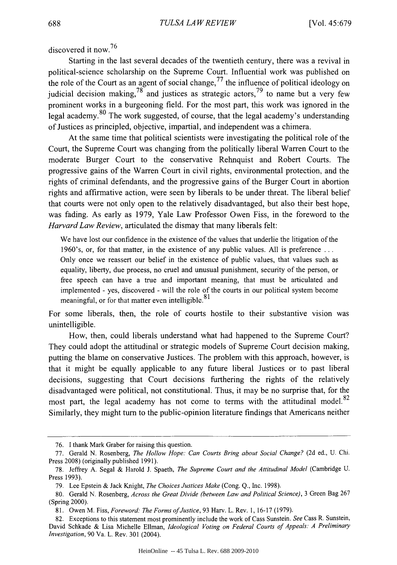discovered it now.<sup>76</sup>

Starting in the last several decades of the twentieth century, there was a revival in political-science scholarship on the Supreme Court. Influential work was published on the role of the Court as an agent of social change,  $^{77}$  the influence of political ideology on judicial decision making,  $78$  and justices as strategic actors,  $79$  to name but a very few prominent works in a burgeoning field. For the most part, this work was ignored in the legal academy.  $80$  The work suggested, of course, that the legal academy's understanding of Justices as principled, objective, impartial, and independent was a chimera.

At the same time that political scientists were investigating the political role of the Court, the Supreme Court was changing from the politically liberal Warren Court to the moderate Burger Court to the conservative Rehnquist and Robert Courts. The progressive gains of the Warren Court in civil rights, environmental protection, and the rights of criminal defendants, and the progressive gains of the Burger Court in abortion rights and affirmative action, were seen **by** liberals to be under threat. The liberal belief that courts were not only open to the relatively disadvantaged, but also their best hope, was fading. As early as **1979,** Yale Law Professor Owen Fiss, in the foreword to the *Harvard Law Review,* articulated the dismay that many liberals felt:

We have lost our confidence in the existence of the values that underlie the litigation of the 1960's, or, for that matter, in the existence of any public values. **All** is preference **...** Only once we reassert our belief in the existence of public values, that values such as equality, liberty, due process, no cruel and unusual punishment, security of the person, or free speech can have a true and important meaning, that must be articulated and implemented **-** yes, discovered **-** will the role of the courts in our political system become meaningful, or for that matter even intelligible.<sup>81</sup>

For some liberals, then, the role of courts hostile to their substantive vision was unintelligible.

How, then, could liberals understand what had happened to the Supreme Court? They could adopt the attitudinal or strategic models of Supreme Court decision making, putting the blame on conservative Justices. The problem with this approach, however, is that it might be equally applicable to any future liberal Justices or to past liberal decisions, suggesting that Court decisions furthering the rights of the relatively disadvantaged were political, not constitutional. Thus, it may be no surprise that, for the most part, the legal academy has not come to terms with the attitudinal model.<sup>82</sup> Similarly, they might turn to the public-opinion literature findings that Americans neither

**<sup>76.</sup>** I thank Mark Graber for raising this question.

*<sup>77.</sup>* Gerald **N.** Rosenberg, *The Hollow Hope: Can Courts Bring about Social Change?* **(2d** ed., **U.** Chi. Press **2008)** (originally published **1991).**

**<sup>78.</sup>** Jeffrey **A.** Segal **&** Harold **J.** Spaeth, *The Supreme Court and the Attitudinal Model* (Cambridge **U.** Press **1993).**

**<sup>79.</sup>** Lee Epstein **&** Jack Knight, *The Choices Justices Make* (Cong. **Q.,** Inc. **1998).**

**<sup>80.</sup>** Gerald **N.** Rosenberg, *Across the Great Divide (between Law and Political Science),* **3** Green Bag **267** (Spring 2000).

**<sup>81.</sup>** Owen M. Fiss, *Foreword: The Forms ofJustice,* **93** Harv. L. Rev. **1, 16-17 (1979).**

**<sup>82.</sup>** Exceptions to this statement most prominently include the work of Cass Sunstein. *See* Cass R. Sunstein, David Schkade **&** Lisa Michelle Ellman, *Ideological Voting on Federal Courts of Appeals: A Preliminary Investigation,* **90** Va. L. Rev. **301** (2004).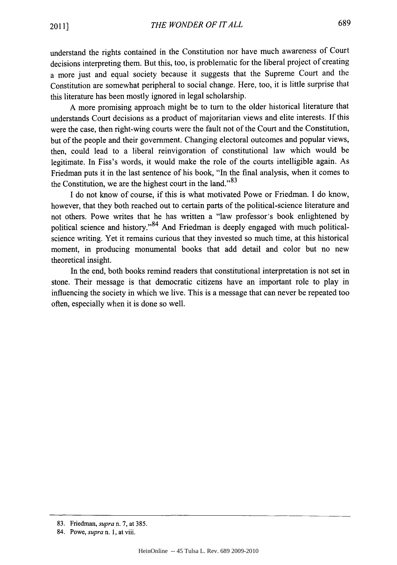understand the rights contained in the Constitution nor have much awareness of Court decisions interpreting them. But this, too, is problematic for the liberal project of creating a more just and equal society because it suggests that the Supreme Court and the Constitution are somewhat peripheral to social change. Here, too, it is little surprise that this literature has been mostly ignored in legal scholarship.

**A** more promising approach might be to turn to the older historical literature that understands Court decisions as a product of majoritarian views and elite interests. **If** this were the case, then right-wing courts were the fault not of the Court and the Constitution, but of the people and their government. Changing electoral outcomes and popular views, then, could lead to a liberal reinvigoration of constitutional law which would be legitimate. In Fiss's words, it would make the role of the courts intelligible again. As Friedman puts it in the last sentence of his book, "In the final analysis, when it comes to the Constitution, we are the highest court in the land." $83$ 

**I** do not know of course, if this is what motivated Powe or Friedman. **I** do know, however, that they both reached out to certain parts of the political-science literature and not others. Powe writes that he has written a "law professor's book enlightened **by** political science and history."<sup>84</sup> And Friedman is deeply engaged with much politicalscience writing. Yet it remains curious that they invested so much time, at this historical moment, in producing monumental books that add detail and color but no new theoretical insight.

In the end, both books remind readers that constitutional interpretation is not set in stone. Their message is that democratic citizens have an important role to play in influencing the society in which we live. This is a message that can never be repeated too often, especially when it is done so well.

**<sup>83.</sup>** Friedman, *supra n.* **7,** at **385.**

<sup>84.</sup> Powe, *supra n.* **1,** at viii.